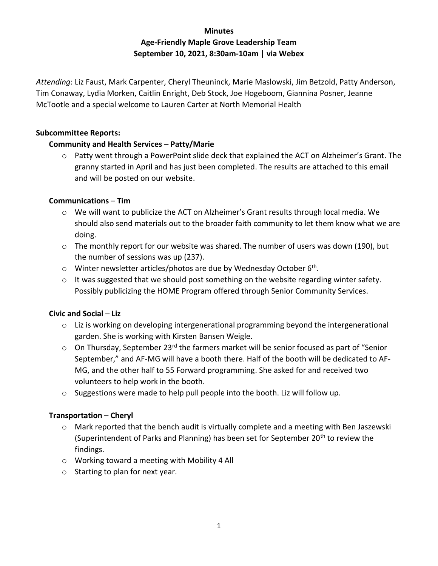# **Minutes Age-Friendly Maple Grove Leadership Team September 10, 2021, 8:30am-10am | via Webex**

*Attending*: Liz Faust, Mark Carpenter, Cheryl Theuninck, Marie Maslowski, Jim Betzold, Patty Anderson, Tim Conaway, Lydia Morken, Caitlin Enright, Deb Stock, Joe Hogeboom, Giannina Posner, Jeanne McTootle and a special welcome to Lauren Carter at North Memorial Health

#### **Subcommittee Reports:**

## **Community and Health Services** – **Patty/Marie**

o Patty went through a PowerPoint slide deck that explained the ACT on Alzheimer's Grant. The granny started in April and has just been completed. The results are attached to this email and will be posted on our website.

## **Communications** – **Tim**

- o We will want to publicize the ACT on Alzheimer's Grant results through local media. We should also send materials out to the broader faith community to let them know what we are doing.
- o The monthly report for our website was shared. The number of users was down (190), but the number of sessions was up (237).
- o Winter newsletter articles/photos are due by Wednesday October 6<sup>th</sup>.
- $\circ$  It was suggested that we should post something on the website regarding winter safety. Possibly publicizing the HOME Program offered through Senior Community Services.

## **Civic and Social** – **Liz**

- $\circ$  Liz is working on developing intergenerational programming beyond the intergenerational garden. She is working with Kirsten Bansen Weigle.
- $\circ$  On Thursday, September 23<sup>rd</sup> the farmers market will be senior focused as part of "Senior September," and AF-MG will have a booth there. Half of the booth will be dedicated to AF-MG, and the other half to 55 Forward programming. She asked for and received two volunteers to help work in the booth.
- o Suggestions were made to help pull people into the booth. Liz will follow up.

## **Transportation** – **Cheryl**

- $\circ$  Mark reported that the bench audit is virtually complete and a meeting with Ben Jaszewski (Superintendent of Parks and Planning) has been set for September  $20<sup>th</sup>$  to review the findings.
- o Working toward a meeting with Mobility 4 All
- o Starting to plan for next year.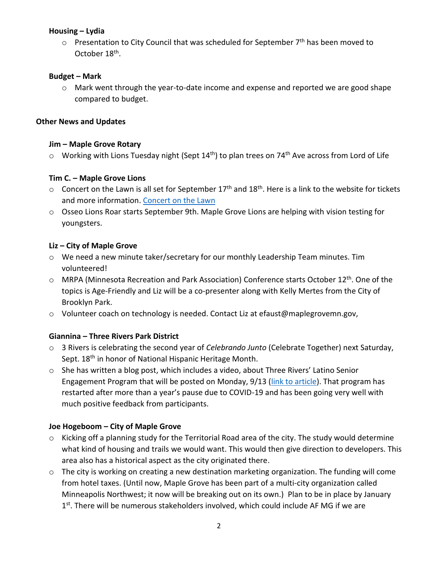## **Housing – Lydia**

 $\circ$  Presentation to City Council that was scheduled for September 7<sup>th</sup> has been moved to October 18<sup>th</sup>.

## **Budget – Mark**

 $\circ$  Mark went through the year-to-date income and expense and reported we are good shape compared to budget.

## **Other News and Updates**

## **Jim – Maple Grove Rotary**

 $\circ$  Working with Lions Tuesday night (Sept 14<sup>th</sup>) to plan trees on 74<sup>th</sup> Ave across from Lord of Life

## **Tim C. – Maple Grove Lions**

- $\circ$  Concert on the Lawn is all set for September 17<sup>th</sup> and 18<sup>th</sup>. Here is a link to the website for tickets and more information. [Concert on the Lawn](https://www.maplegrovelions.org/concert-on-the-lawn)
- o Osseo Lions Roar starts September 9th. Maple Grove Lions are helping with vision testing for youngsters.

# **Liz – City of Maple Grove**

- o We need a new minute taker/secretary for our monthly Leadership Team minutes. Tim volunteered!
- o MRPA (Minnesota Recreation and Park Association) Conference starts October 12<sup>th</sup>. One of the topics is Age-Friendly and Liz will be a co-presenter along with Kelly Mertes from the City of Brooklyn Park.
- o Volunteer coach on technology is needed. Contact Liz at efaust@maplegrovemn.gov,

# **Giannina – Three Rivers Park District**

- o 3 Rivers is celebrating the second year of *Celebrando Junto* (Celebrate Together) next Saturday, Sept. 18<sup>th</sup> in honor of National Hispanic Heritage Month.
- o She has written a blog post, which includes a video, about Three Rivers' Latino Senior Engagement Program that will be posted on Monday, 9/13 [\(link to article\)](https://www.threeriversparks.org/blog/bridging-access-joy-outdoors-latino-seniors). That program has restarted after more than a year's pause due to COVID-19 and has been going very well with much positive feedback from participants.

# **Joe Hogeboom – City of Maple Grove**

- o Kicking off a planning study for the Territorial Road area of the city. The study would determine what kind of housing and trails we would want. This would then give direction to developers. This area also has a historical aspect as the city originated there.
- o The city is working on creating a new destination marketing organization. The funding will come from hotel taxes. (Until now, Maple Grove has been part of a multi-city organization called Minneapolis Northwest; it now will be breaking out on its own.) Plan to be in place by January 1<sup>st</sup>. There will be numerous stakeholders involved, which could include AF MG if we are